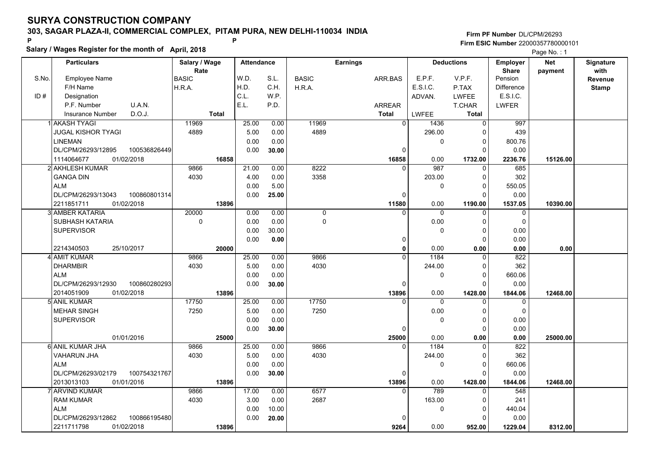**Salary / Wages Register for the month of April, 2018 <sup>P</sup> <sup>P</sup>**

|       | Salary / wages Register for the month of April, 2018 |               |                   |       |              |                 | Page No.: 1            |                   |                   |            |              |
|-------|------------------------------------------------------|---------------|-------------------|-------|--------------|-----------------|------------------------|-------------------|-------------------|------------|--------------|
|       | <b>Particulars</b>                                   | Salary / Wage | <b>Attendance</b> |       |              | <b>Earnings</b> |                        | <b>Deductions</b> | <b>Employer</b>   | <b>Net</b> | Signature    |
|       |                                                      | Rate          |                   |       |              |                 |                        |                   | <b>Share</b>      | payment    | with         |
| S.No. | <b>Employee Name</b>                                 | <b>BASIC</b>  | W.D.              | S.L.  | <b>BASIC</b> | ARR.BAS         | E.P.F.                 | V.P.F.            | Pension           |            | Revenue      |
|       | F/H Name                                             | H.R.A.        | H.D.              | C.H.  | H.R.A.       |                 | E.S.I.C.               | P.TAX             | <b>Difference</b> |            | <b>Stamp</b> |
| ID#   | Designation                                          |               | C.L.              | W.P.  |              |                 | ADVAN.                 | <b>LWFEE</b>      | E.S.I.C.          |            |              |
|       | U.A.N.<br>P.F. Number                                |               | E.L.              | P.D.  |              | <b>ARREAR</b>   |                        | T.CHAR            | <b>LWFER</b>      |            |              |
|       | D.O.J.<br><b>Insurance Number</b>                    | <b>Total</b>  |                   |       |              | <b>Total</b>    | <b>LWFEE</b>           | <b>Total</b>      |                   |            |              |
|       | 1 AKASH TYAGI                                        | 11969         | 25.00             | 0.00  | 11969        |                 | $\overline{0}$<br>1436 | $\Omega$          | 997               |            |              |
|       | <b>JUGAL KISHOR TYAGI</b>                            | 4889          | 5.00              | 0.00  | 4889         |                 | 296.00                 | $\Omega$          | 439               |            |              |
|       | <b>LINEMAN</b>                                       |               | 0.00              | 0.00  |              |                 | 0                      | $\Omega$          | 800.76            |            |              |
|       | DL/CPM/26293/12895<br>100536826449                   |               | 0.00              | 30.00 |              |                 | 0                      | $\Omega$          | 0.00              |            |              |
|       | 1114064677<br>01/02/2018                             | 16858         |                   |       |              | 16858           | 0.00                   | 1732.00           | 2236.76           | 15126.00   |              |
|       | 2 AKHLESH KUMAR                                      | 9866          | 21.00             | 0.00  | 8222         |                 | 987<br>$\Omega$        | $\Omega$          | 685               |            |              |
|       | <b>GANGA DIN</b>                                     | 4030          | 4.00              | 0.00  | 3358         |                 | 203.00                 | 0                 | 302               |            |              |
|       | <b>ALM</b>                                           |               | 0.00              | 5.00  |              |                 | 0                      | 0                 | 550.05            |            |              |
|       | DL/CPM/26293/13043<br>100860801314                   |               | 0.00              | 25.00 |              |                 | $\Omega$               | O                 | 0.00              |            |              |
|       | 2211851711<br>01/02/2018                             | 13896         |                   |       |              | 11580           | 0.00                   | 1190.00           | 1537.05           | 10390.00   |              |
|       | 3 AMBER KATARIA                                      | 20000         | 0.00              | 0.00  | 0            |                 | 0<br>0                 | 0                 | $\mathbf 0$       |            |              |
|       | SUBHASH KATARIA                                      | 0             | 0.00              | 0.00  | $\mathsf{O}$ |                 | 0.00                   | $\Omega$          | $\mathbf 0$       |            |              |
|       | <b>SUPERVISOR</b>                                    |               | 0.00              | 30.00 |              |                 | $\Omega$               | $\Omega$          | 0.00              |            |              |
|       |                                                      |               | 0.00              | 0.00  |              |                 | $\Omega$               | $\Omega$          | 0.00              |            |              |
|       | 2214340503<br>25/10/2017                             | 20000         |                   |       |              |                 | 0.00<br>$\mathbf{0}$   | 0.00              | 0.00              | 0.00       |              |
|       | 4 AMIT KUMAR                                         | 9866          | 25.00             | 0.00  | 9866         |                 | 1184<br>$\Omega$       | $\Omega$          | 822               |            |              |
|       | <b>DHARMBIR</b>                                      | 4030          | 5.00              | 0.00  | 4030         |                 | 244.00                 | $\Omega$          | 362               |            |              |
|       | <b>ALM</b>                                           |               | 0.00              | 0.00  |              |                 | 0                      | 0                 | 660.06            |            |              |
|       | DL/CPM/26293/12930<br>100860280293                   |               | 0.00              | 30.00 |              |                 | $\Omega$               | $\Omega$          | 0.00              |            |              |
|       | 2014051909<br>01/02/2018                             | 13896         |                   |       |              | 13896           | 0.00                   | 1428.00           | 1844.06           | 12468.00   |              |
|       | 5 ANIL KUMAR                                         | 17750         | 25.00             | 0.00  | 17750        |                 | $\Omega$               | $\Omega$          | 0                 |            |              |
|       | <b>MEHAR SINGH</b>                                   | 7250          | 5.00              | 0.00  | 7250         |                 | 0.00                   | 0                 | $\mathbf 0$       |            |              |
|       | <b>SUPERVISOR</b>                                    |               | 0.00              | 0.00  |              |                 | 0                      | $\Omega$          | 0.00              |            |              |
|       |                                                      |               | 0.00              | 30.00 |              |                 | 0                      | $\Omega$          | 0.00              |            |              |
|       | 01/01/2016                                           | 25000         |                   |       |              | 25000           | 0.00                   | 0.00              | 0.00              | 25000.00   |              |
|       | 6 ANIL KUMAR JHA                                     | 9866          | 25.00             | 0.00  | 9866         |                 | 1184<br>0              | 0                 | 822               |            |              |
|       | <b>VAHARUN JHA</b>                                   | 4030          | 5.00              | 0.00  | 4030         |                 | 244.00                 | $\Omega$          | 362               |            |              |
|       | ALM                                                  |               | 0.00              | 0.00  |              |                 | 0                      | $\Omega$          | 660.06            |            |              |
|       | DL/CPM/26293/02179<br>100754321767                   |               | 0.00              | 30.00 |              |                 | $\Omega$               | $\Omega$          | 0.00              |            |              |
|       | 2013013103<br>01/01/2016                             | 13896         |                   |       |              | 13896           | 0.00                   | 1428.00           | 1844.06           | 12468.00   |              |
|       | <b>ARVIND KUMAR</b>                                  | 9866          | 17.00             | 0.00  | 6577         |                 | 789<br>$\Omega$        | $\Omega$          | 548               |            |              |
|       | <b>RAM KUMAR</b>                                     | 4030          | 3.00              | 0.00  | 2687         |                 | 163.00                 | $\Omega$          | 241               |            |              |
|       | <b>ALM</b>                                           |               | 0.00              | 10.00 |              |                 | 0                      | $\Omega$          | 440.04            |            |              |
|       | 100866195480<br>DL/CPM/26293/12862                   |               | 0.00              | 20.00 |              |                 |                        | U                 | 0.00              |            |              |
|       | 01/02/2018<br>2211711798                             | 13896         |                   |       |              | 9264            | 0.00                   | 952.00            | 1229.04           | 8312.00    |              |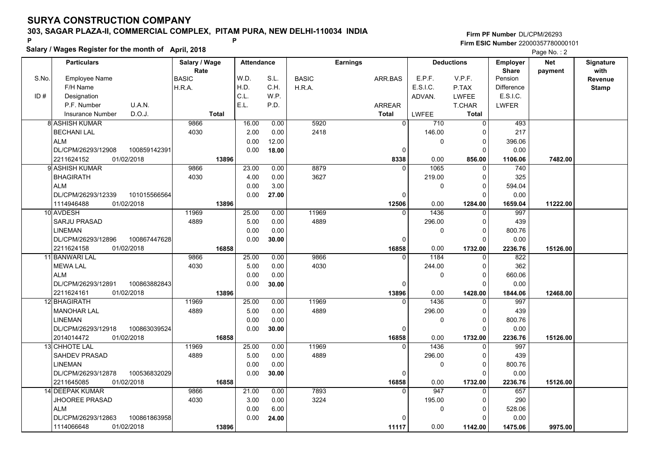**Salary / Wages Register for the month of April, 2018 <sup>P</sup> <sup>P</sup>**

**Firm PF Number**DL/CPM/26293**Firm ESIC Number** 22000357780000101

Page No. : 2

|       | <b>Particulars</b>                 | Salary / Wage | <b>Attendance</b> |       |              | <b>Earnings</b> |             | <b>Deductions</b> | <b>Employer</b>   | Net      | Signature    |
|-------|------------------------------------|---------------|-------------------|-------|--------------|-----------------|-------------|-------------------|-------------------|----------|--------------|
|       |                                    | Rate          |                   |       |              |                 |             |                   | <b>Share</b>      | payment  | with         |
| S.No. | <b>Employee Name</b>               | <b>BASIC</b>  | W.D.              | S.L.  | <b>BASIC</b> | ARR.BAS         | E.P.F.      | V.P.F.            | Pension           |          | Revenue      |
|       | F/H Name                           | H.R.A.        | H.D.              | C.H.  | H.R.A.       |                 | E.S.I.C.    | P.TAX             | <b>Difference</b> |          | <b>Stamp</b> |
| ID#   | Designation                        |               | C.L.              | W.P.  |              |                 | ADVAN.      | <b>LWFEE</b>      | E.S.I.C.          |          |              |
|       | U.A.N.<br>P.F. Number              |               | E.L.              | P.D.  |              | <b>ARREAR</b>   |             | T.CHAR            | <b>LWFER</b>      |          |              |
|       | D.O.J.<br><b>Insurance Number</b>  | <b>Total</b>  |                   |       |              | <b>Total</b>    | LWFEE       | Total             |                   |          |              |
|       | 8 ASHISH KUMAR                     | 9866          | 16.00             | 0.00  | 5920         | $\mathbf{0}$    | 710         | $\Omega$          | 493               |          |              |
|       | <b>BECHANI LAL</b>                 | 4030          | 2.00              | 0.00  | 2418         |                 | 146.00      | $\Omega$          | 217               |          |              |
|       | <b>ALM</b>                         |               | 0.00              | 12.00 |              |                 | $\mathbf 0$ | 0                 | 396.06            |          |              |
|       | 100859142391<br>DL/CPM/26293/12908 |               | 0.00              | 18.00 |              | 0               |             | $\Omega$          | 0.00              |          |              |
|       | 2211624152<br>01/02/2018           | 13896         |                   |       |              | 8338            | 0.00        | 856.00            | 1106.06           | 7482.00  |              |
|       | 9 ASHISH KUMAR                     | 9866          | 23.00             | 0.00  | 8879         | $\Omega$        | 1065        | $\Omega$          | 740               |          |              |
|       | <b>BHAGIRATH</b>                   | 4030          | 4.00              | 0.00  | 3627         |                 | 219.00      | $\Omega$          | 325               |          |              |
|       | <b>ALM</b>                         |               | 0.00              | 3.00  |              |                 | 0           | 0                 | 594.04            |          |              |
|       | DL/CPM/26293/12339<br>101015566564 |               | 0.00              | 27.00 |              | 0               |             | $\Omega$          | 0.00              |          |              |
|       | 01/02/2018<br>1114946488           | 13896         |                   |       |              | 12506           | 0.00        | 1284.00           | 1659.04           | 11222.00 |              |
|       | 10 AVDESH                          | 11969         | 25.00             | 0.00  | 11969        | $\Omega$        | 1436        | $\Omega$          | 997               |          |              |
|       | SARJU PRASAD                       | 4889          | 5.00              | 0.00  | 4889         |                 | 296.00      | 0                 | 439               |          |              |
|       | <b>LINEMAN</b>                     |               | 0.00              | 0.00  |              |                 | 0           | $\Omega$          | 800.76            |          |              |
|       | DL/CPM/26293/12896<br>100867447628 |               | 0.00              | 30.00 |              | 0               |             | $\Omega$          | 0.00              |          |              |
|       | 2211624158<br>01/02/2018           | 16858         |                   |       |              | 16858           | 0.00        | 1732.00           | 2236.76           | 15126.00 |              |
|       | 11 BANWARI LAL                     | 9866          | 25.00             | 0.00  | 9866         | $\Omega$        | 1184        | $\Omega$          | 822               |          |              |
|       | <b>MEWA LAL</b>                    | 4030          | 5.00              | 0.00  | 4030         |                 | 244.00      | $\Omega$          | 362               |          |              |
|       | <b>ALM</b>                         |               | 0.00              | 0.00  |              |                 | $\mathbf 0$ | $\Omega$          | 660.06            |          |              |
|       | DL/CPM/26293/12891<br>100863882843 |               | 0.00              | 30.00 |              | $\Omega$        |             | $\Omega$          | 0.00              |          |              |
|       | 2211624161<br>01/02/2018           | 13896         |                   |       |              | 13896           | 0.00        | 1428.00           | 1844.06           | 12468.00 |              |
|       | 12 BHAGIRATH                       | 11969         | 25.00             | 0.00  | 11969        |                 | 1436        | $\Omega$          | 997               |          |              |
|       | <b>MANOHAR LAL</b>                 | 4889          | 5.00              | 0.00  | 4889         |                 | 296.00      | $\Omega$          | 439               |          |              |
|       | <b>LINEMAN</b>                     |               | 0.00              | 0.00  |              |                 | $\mathbf 0$ | $\Omega$          | 800.76            |          |              |
|       | DL/CPM/26293/12918<br>100863039524 |               | 0.00              | 30.00 |              | $\Omega$        |             | $\Omega$          | 0.00              |          |              |
|       | 2014014472<br>01/02/2018           | 16858         |                   |       |              | 16858           | 0.00        | 1732.00           | 2236.76           | 15126.00 |              |
|       | 13 CHHOTE LAL                      | 11969         | 25.00             | 0.00  | 11969        | $\Omega$        | 1436        | $\Omega$          | 997               |          |              |
|       | <b>SAHDEV PRASAD</b>               | 4889          | 5.00              | 0.00  | 4889         |                 | 296.00      | 0                 | 439               |          |              |
|       | <b>LINEMAN</b>                     |               | 0.00              | 0.00  |              |                 | 0           | 0                 | 800.76            |          |              |
|       | DL/CPM/26293/12878<br>100536832029 |               | 0.00              | 30.00 |              | 0               |             | 0                 | 0.00              |          |              |
|       | 2211645085<br>01/02/2018           | 16858         |                   |       |              | 16858           | 0.00        | 1732.00           | 2236.76           | 15126.00 |              |
|       | <b>14 DEEPAK KUMAR</b>             | 9866          | 21.00             | 0.00  | 7893         | $\Omega$        | 947         | $\Omega$          | 657               |          |              |
|       | <b>JHOOREE PRASAD</b>              | 4030          | 3.00              | 0.00  | 3224         |                 | 195.00      | $\Omega$          | 290               |          |              |
|       | <b>ALM</b>                         |               | 0.00              | 6.00  |              |                 | 0           | $\Omega$          | 528.06            |          |              |
|       | DL/CPM/26293/12863<br>100861863958 |               | 0.00              | 24.00 |              |                 |             | O                 | 0.00              |          |              |
|       | 1114066648<br>01/02/2018           | 13896         |                   |       |              | 11117           | 0.00        | 1142.00           | 1475.06           | 9975.00  |              |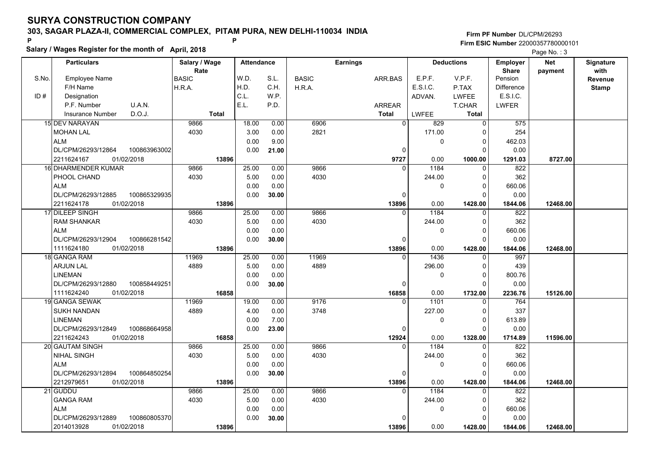**Salary / Wages Register for the month of April, 2018 <sup>P</sup> <sup>P</sup>**

|       | Salary / Wages Register for the month of April, 2018 |               |                   |       |              |                 |                 |                   |                   |            |                  |
|-------|------------------------------------------------------|---------------|-------------------|-------|--------------|-----------------|-----------------|-------------------|-------------------|------------|------------------|
|       | <b>Particulars</b>                                   | Salary / Wage | <b>Attendance</b> |       |              | <b>Earnings</b> |                 | <b>Deductions</b> | Employer          | <b>Net</b> | <b>Signature</b> |
|       |                                                      | Rate          |                   |       |              |                 |                 |                   | <b>Share</b>      | payment    | with             |
| S.No. | <b>Employee Name</b>                                 | <b>BASIC</b>  | W.D.              | S.L.  | <b>BASIC</b> | ARR.BAS         | E.P.F.          | V.P.F.            | Pension           |            | Revenue          |
|       | F/H Name                                             | H.R.A.        | H.D.              | C.H.  | H.R.A.       |                 | <b>E.S.I.C.</b> | P.TAX             | <b>Difference</b> |            | <b>Stamp</b>     |
| ID#   | Designation                                          |               | C.L.              | W.P.  |              |                 | ADVAN.          | <b>LWFEE</b>      | E.S.I.C.          |            |                  |
|       | P.F. Number<br>U.A.N.                                |               | E.L.              | P.D.  |              | <b>ARREAR</b>   |                 | <b>T.CHAR</b>     | <b>LWFER</b>      |            |                  |
|       | D.O.J.<br><b>Insurance Number</b>                    | <b>Total</b>  |                   |       |              | <b>Total</b>    | <b>LWFEE</b>    | <b>Total</b>      |                   |            |                  |
|       | 15 DEV NARAYAN                                       | 9866          | 18.00             | 0.00  | 6906         | $\overline{0}$  | 829             | $\overline{0}$    | 575               |            |                  |
|       | <b>MOHAN LAL</b>                                     | 4030          | 3.00              | 0.00  | 2821         |                 | 171.00          | $\Omega$          | 254               |            |                  |
|       | <b>ALM</b>                                           |               | 0.00              | 9.00  |              |                 | $\mathbf 0$     | 0                 | 462.03            |            |                  |
|       | DL/CPM/26293/12864<br>100863963002                   |               | 0.00              | 21.00 |              | 0               |                 | $\Omega$          | 0.00              |            |                  |
|       | 01/02/2018<br>2211624167                             | 13896         |                   |       |              | 9727            | 0.00            | 1000.00           | 1291.03           | 8727.00    |                  |
|       | 16 DHARMENDER KUMAR                                  | 9866          | 25.00             | 0.00  | 9866         | $\Omega$        | 1184            | $\Omega$          | 822               |            |                  |
|       | PHOOL CHAND                                          | 4030          | 5.00              | 0.00  | 4030         |                 | 244.00          | $\Omega$          | 362               |            |                  |
|       | <b>ALM</b>                                           |               | 0.00              | 0.00  |              |                 | 0               | $\Omega$          | 660.06            |            |                  |
|       | DL/CPM/26293/12885<br>100865329935                   |               | 0.00              | 30.00 |              | 0               |                 | 0                 | 0.00              |            |                  |
|       | 2211624178<br>01/02/2018                             | 13896         |                   |       |              | 13896           | 0.00            | 1428.00           | 1844.06           | 12468.00   |                  |
|       | 17 DILEEP SINGH                                      | 9866          | 25.00             | 0.00  | 9866         | $\Omega$        | 1184            | $\Omega$          | 822               |            |                  |
|       | <b>RAM SHANKAR</b>                                   | 4030          | 5.00              | 0.00  | 4030         |                 | 244.00          | $\Omega$          | 362               |            |                  |
|       | <b>ALM</b>                                           |               | 0.00              | 0.00  |              |                 | $\mathbf 0$     | $\Omega$          | 660.06            |            |                  |
|       | DL/CPM/26293/12904<br>100866281542                   |               | 0.00              | 30.00 |              | 0               |                 | $\Omega$          | 0.00              |            |                  |
|       | 1111624180<br>01/02/2018                             | 13896         |                   |       |              | 13896           | 0.00            | 1428.00           | 1844.06           | 12468.00   |                  |
|       | 18 GANGA RAM                                         | 11969         | 25.00             | 0.00  | 11969        | $\Omega$        | 1436            | $\Omega$          | 997               |            |                  |
|       | <b>ARJUN LAL</b>                                     | 4889          | 5.00              | 0.00  | 4889         |                 | 296.00          | $\Omega$          | 439               |            |                  |
|       | LINEMAN                                              |               | 0.00              | 0.00  |              |                 | $\pmb{0}$       | $\Omega$          | 800.76            |            |                  |
|       | DL/CPM/26293/12880<br>100858449251                   |               | 0.00              | 30.00 |              | 0               |                 | $\Omega$          | 0.00              |            |                  |
|       | 1111624240<br>01/02/2018                             | 16858         |                   |       |              | 16858           | 0.00            | 1732.00           | 2236.76           | 15126.00   |                  |
|       | 19 GANGA SEWAK                                       | 11969         | 19.00             | 0.00  | 9176         | $\Omega$        | 1101            | $\Omega$          | 764               |            |                  |
|       | SUKH NANDAN                                          | 4889          | 4.00              | 0.00  | 3748         |                 | 227.00          | 0                 | 337               |            |                  |
|       | LINEMAN                                              |               | 0.00              | 7.00  |              |                 | $\mathbf 0$     | $\Omega$          | 613.89            |            |                  |
|       | DL/CPM/26293/12849<br>100868664958                   |               | 0.00              | 23.00 |              | 0               |                 | $\Omega$          | 0.00              |            |                  |
|       | 2211624243<br>01/02/2018                             | 16858         |                   |       |              | 12924           | 0.00            | 1328.00           | 1714.89           | 11596.00   |                  |
|       | 20 GAUTAM SINGH                                      | 9866          | 25.00             | 0.00  | 9866         | 0               | 1184            | 0                 | 822               |            |                  |
|       | <b>NIHAL SINGH</b>                                   | 4030          | 5.00              | 0.00  | 4030         |                 | 244.00          | $\Omega$          | 362               |            |                  |
|       | <b>ALM</b>                                           |               | 0.00              | 0.00  |              |                 | $\mathbf 0$     | $\Omega$          | 660.06            |            |                  |
|       | DL/CPM/26293/12894<br>100864850254                   |               | 0.00              | 30.00 |              | 0               |                 | $\Omega$          | 0.00              |            |                  |
|       | 2212979651<br>01/02/2018                             | 13896         |                   |       |              | 13896           | 0.00            | 1428.00           | 1844.06           | 12468.00   |                  |
|       | 21 GUDDU                                             | 9866          | 25.00             | 0.00  | 9866         | $\Omega$        | 1184            | $\Omega$          | 822               |            |                  |
|       | <b>GANGA RAM</b>                                     | 4030          | 5.00              | 0.00  | 4030         |                 | 244.00          | $\Omega$          | 362               |            |                  |
|       | <b>ALM</b>                                           |               | 0.00              | 0.00  |              |                 | 0               | 0                 | 660.06            |            |                  |
|       | 100860805370<br>DL/CPM/26293/12889                   |               | 0.00              | 30.00 |              | $\Omega$        |                 | O                 | 0.00              |            |                  |
|       | 2014013928<br>01/02/2018                             | 13896         |                   |       |              | 13896           | 0.00            | 1428.00           | 1844.06           | 12468.00   |                  |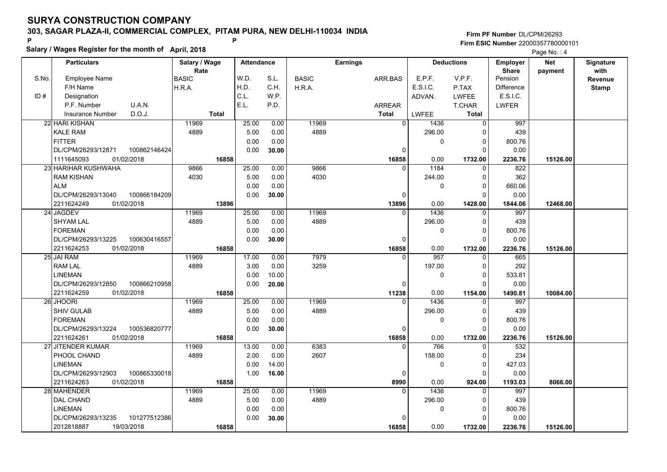**Salary / Wages Register for the month of April, 2018 <sup>P</sup> <sup>P</sup>**

**Firm PF Number**DL/CPM/26293**Firm ESIC Number** 22000357780000101

Page No. : 4

|       | <b>Particulars</b>                 | Salary / Wage | <b>Attendance</b> |       |              | <b>Earnings</b> |                       | <b>Deductions</b> | Employer          | <b>Net</b> | Signature      |
|-------|------------------------------------|---------------|-------------------|-------|--------------|-----------------|-----------------------|-------------------|-------------------|------------|----------------|
|       |                                    | Rate          |                   |       |              |                 |                       |                   | <b>Share</b>      | payment    | with           |
| S.No. | Employee Name                      | <b>BASIC</b>  | W.D.              | S.L.  | <b>BASIC</b> | ARR.BAS         | E.P.F.                | V.P.F.            | Pension           |            | <b>Revenue</b> |
|       | F/H Name                           | H.R.A.        | H.D.              | C.H.  | H.R.A.       |                 | E.S.I.C.              | P.TAX             | <b>Difference</b> |            | <b>Stamp</b>   |
| ID#   | Designation                        |               | C.L.              | W.P.  |              |                 | ADVAN.                | <b>LWFEE</b>      | E.S.I.C.          |            |                |
|       | U.A.N.<br>P.F. Number              |               | E.L.              | P.D.  |              | <b>ARREAR</b>   |                       | T.CHAR            | <b>LWFER</b>      |            |                |
|       | D.O.J.<br><b>Insurance Number</b>  | <b>Total</b>  |                   |       |              | <b>Total</b>    | <b>LWFEE</b>          | Total             |                   |            |                |
|       | 22 HARI KISHAN                     | 11969         | 25.00             | 0.00  | 11969        |                 | $\Omega$<br>1436      | $\mathbf 0$       | 997               |            |                |
|       | <b>KALE RAM</b>                    | 4889          | 5.00              | 0.00  | 4889         |                 | 296.00                | 0                 | 439               |            |                |
|       | <b>FITTER</b>                      |               | 0.00              | 0.00  |              |                 | $\mathbf 0$           | 0                 | 800.76            |            |                |
|       | DL/CPM/26293/12871<br>100862146424 |               | 0.00              | 30.00 |              |                 | 0                     | $\Omega$          | 0.00              |            |                |
|       | 1111645093<br>01/02/2018           | 16858         |                   |       |              | 16858           | 0.00                  | 1732.00           | 2236.76           | 15126.00   |                |
|       | 23 HARIHAR KUSHWAHA                | 9866          | 25.00             | 0.00  | 9866         |                 | 1184<br>$\Omega$      | $\Omega$          | 822               |            |                |
|       | <b>RAM KISHAN</b>                  | 4030          | 5.00              | 0.00  | 4030         |                 | 244.00                | 0                 | 362               |            |                |
|       | <b>ALM</b>                         |               | 0.00              | 0.00  |              |                 | $\mathbf 0$           | 0                 | 660.06            |            |                |
|       | DL/CPM/26293/13040<br>100866184209 |               | 0.00              | 30.00 |              |                 | 0                     | $\Omega$          | 0.00              |            |                |
|       | 01/02/2018<br>2211624249           | 13896         |                   |       |              | 13896           | 0.00                  | 1428.00           | 1844.06           | 12468.00   |                |
|       | 24 JAGDEV                          | 11969         | 25.00             | 0.00  | 11969        |                 | 1436<br>$\Omega$      | $\Omega$          | 997               |            |                |
|       | <b>SHYAM LAL</b>                   | 4889          | 5.00              | 0.00  | 4889         |                 | 296.00                | 0                 | 439               |            |                |
|       | <b>FOREMAN</b>                     |               | 0.00              | 0.00  |              |                 | $\mathbf 0$           | $\Omega$          | 800.76            |            |                |
|       | 100630416557<br>DL/CPM/26293/13225 |               | 0.00              | 30.00 |              |                 | 0                     | $\Omega$          | 0.00              |            |                |
|       | 2211624253<br>01/02/2018           | 16858         |                   |       |              | 16858           | 0.00                  | 1732.00           | 2236.76           | 15126.00   |                |
|       | 25 JAI RAM                         | 11969         | 17.00             | 0.00  | 7979         |                 | 957<br>$\Omega$       | 0                 | 665               |            |                |
|       | <b>RAM LAL</b>                     | 4889          | 3.00              | 0.00  | 3259         |                 | 197.00                | $\Omega$          | 292               |            |                |
|       | <b>LINEMAN</b>                     |               | 0.00              | 10.00 |              |                 | $\mathbf 0$           | $\Omega$          | 533.81            |            |                |
|       | DL/CPM/26293/12850<br>100866210958 |               | 0.00              | 20.00 |              |                 | $\mathbf 0$           | $\Omega$          | 0.00              |            |                |
|       | 2211624259<br>01/02/2018           | 16858         |                   |       |              | 11238           | 0.00                  | 1154.00           | 1490.81           | 10084.00   |                |
|       | 26 JHOORI                          | 11969         | 25.00             | 0.00  | 11969        |                 | 1436                  | $\Omega$          | 997               |            |                |
|       | <b>SHIV GULAB</b>                  | 4889          | 5.00              | 0.00  | 4889         |                 | 296.00                | $\Omega$          | 439               |            |                |
|       | <b>FOREMAN</b>                     |               | 0.00              | 0.00  |              |                 | $\mathbf 0$           | $\Omega$          | 800.76            |            |                |
|       | DL/CPM/26293/13224<br>100536820777 |               | 0.00              | 30.00 |              |                 | 0                     | $\Omega$          | 0.00              |            |                |
|       | 2211624261<br>01/02/2018           | 16858         |                   |       |              | 16858           | 0.00                  | 1732.00           | 2236.76           | 15126.00   |                |
|       | 27 JITENDER KUMAR                  | 11969         | 13.00             | 0.00  | 6383         |                 | 766<br>$\overline{0}$ | $\Omega$          | 532               |            |                |
|       | PHOOL CHAND                        | 4889          | 2.00              | 0.00  | 2607         |                 | 158.00                | $\Omega$          | 234               |            |                |
|       | <b>LINEMAN</b>                     |               | 0.00              | 14.00 |              |                 | $\pmb{0}$             | 0                 | 427.03            |            |                |
|       | 100865330018<br>DL/CPM/26293/12903 |               | 1.00              | 16.00 |              |                 | 0                     | 0                 | 0.00              |            |                |
|       | 01/02/2018<br>2211624263           | 16858         |                   |       |              | 8990            | 0.00                  | 924.00            | 1193.03           | 8066.00    |                |
|       | 28 MAHENDER                        | 11969         | 25.00             | 0.00  | 11969        |                 | 1436<br>$\Omega$      | $\Omega$          | 997               |            |                |
|       | <b>DAL CHAND</b>                   | 4889          | 5.00              | 0.00  | 4889         |                 | 296.00                | $\Omega$          | 439               |            |                |
|       | <b>LINEMAN</b>                     |               | 0.00              | 0.00  |              |                 | 0                     | $\mathbf 0$       | 800.76            |            |                |
|       | 101277512386<br>DL/CPM/26293/13235 |               | 0.00              | 30.00 |              |                 | $\Omega$              | $\Omega$          | 0.00              |            |                |
|       | 2012818887<br>19/03/2018           | 16858         |                   |       |              | 16858           | 0.00                  | 1732.00           | 2236.76           | 15126.00   |                |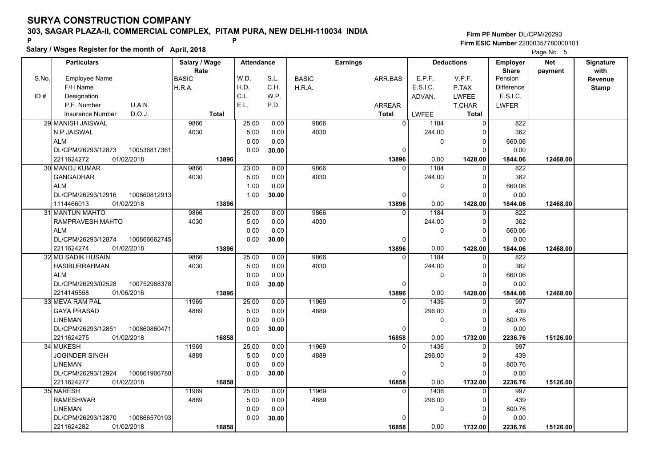**Salary / Wages Register for the month of April, 2018 <sup>P</sup> <sup>P</sup>**

**Firm PF Number**DL/CPM/26293**Firm ESIC Number** 22000357780000101

Page No. : 5

|       | <b>Particulars</b>                 | Salary / Wage | <b>Attendance</b> |       |              | <b>Earnings</b> |             | <b>Deductions</b> | <b>Employer</b>   | Net      | <b>Signature</b> |
|-------|------------------------------------|---------------|-------------------|-------|--------------|-----------------|-------------|-------------------|-------------------|----------|------------------|
|       |                                    | Rate          |                   |       |              |                 |             | V.P.F.            | <b>Share</b>      | payment  | with             |
| S.No. | <b>Employee Name</b>               | <b>BASIC</b>  | W.D.              | S.L.  | <b>BASIC</b> | ARR.BAS         | E.P.F.      |                   | Pension           |          | Revenue          |
|       | F/H Name                           | H.R.A.        | H.D.              | C.H.  | H.R.A.       |                 | E.S.I.C.    | P.TAX             | <b>Difference</b> |          | <b>Stamp</b>     |
| ID#   | Designation                        |               | C.L.              | W.P.  |              |                 | ADVAN.      | LWFEE             | E.S.I.C.          |          |                  |
|       | U.A.N.<br>P.F. Number              |               | E.L.              | P.D.  |              | <b>ARREAR</b>   |             | T.CHAR            | <b>LWFER</b>      |          |                  |
|       | D.O.J.<br><b>Insurance Number</b>  | <b>Total</b>  |                   |       |              | <b>Total</b>    | LWFEE       | <b>Total</b>      |                   |          |                  |
|       | 29 MANISH JAISWAL                  | 9866          | 25.00             | 0.00  | 9866         | $\mathbf{0}$    | 1184        | $\Omega$          | 822               |          |                  |
|       | N.P JAISWAL                        | 4030          | 5.00              | 0.00  | 4030         |                 | 244.00      | $\Omega$          | 362               |          |                  |
|       | <b>ALM</b>                         |               | 0.00              | 0.00  |              |                 | $\mathbf 0$ | 0                 | 660.06            |          |                  |
|       | DL/CPM/26293/12873<br>100536817361 |               | 0.00              | 30.00 |              | $\Omega$        |             | $\Omega$          | 0.00              |          |                  |
|       | 01/02/2018<br>2211624272           | 13896         |                   |       |              | 13896           | 0.00        | 1428.00           | 1844.06           | 12468.00 |                  |
|       | 30 MANOJ KUMAR                     | 9866          | 23.00             | 0.00  | 9866         | $\Omega$        | 1184        | $\Omega$          | 822               |          |                  |
|       | <b>GANGADHAR</b>                   | 4030          | 5.00              | 0.00  | 4030         |                 | 244.00      | $\Omega$          | 362               |          |                  |
|       | <b>ALM</b>                         |               | 1.00              | 0.00  |              |                 | 0           | 0                 | 660.06            |          |                  |
|       | DL/CPM/26293/12916<br>100860812913 |               | 1.00              | 30.00 |              | 0               |             | $\Omega$          | 0.00              |          |                  |
|       | 01/02/2018<br>1114466013           | 13896         |                   |       |              | 13896           | 0.00        | 1428.00           | 1844.06           | 12468.00 |                  |
|       | 31 MANTUN MAHTO                    | 9866          | 25.00             | 0.00  | 9866         | $\Omega$        | 1184        | $\Omega$          | 822               |          |                  |
|       | RAMPRAVESH MAHTO                   | 4030          | 5.00              | 0.00  | 4030         |                 | 244.00      | 0                 | 362               |          |                  |
|       | <b>ALM</b>                         |               | 0.00              | 0.00  |              |                 | 0           | $\Omega$          | 660.06            |          |                  |
|       | DL/CPM/26293/12874<br>100866662745 |               | 0.00              | 30.00 |              | 0               |             | $\Omega$          | 0.00              |          |                  |
|       | 2211624274<br>01/02/2018           | 13896         |                   |       |              | 13896           | 0.00        | 1428.00           | 1844.06           | 12468.00 |                  |
|       | 32 MD SADIK HUSAIN                 | 9866          | 25.00             | 0.00  | 9866         | $\Omega$        | 1184        | $\Omega$          | 822               |          |                  |
|       | <b>HASIBURRAHMAN</b>               | 4030          | 5.00              | 0.00  | 4030         |                 | 244.00      | $\Omega$          | 362               |          |                  |
|       | <b>ALM</b>                         |               | 0.00              | 0.00  |              |                 | $\mathbf 0$ | $\Omega$          | 660.06            |          |                  |
|       | DL/CPM/26293/02528<br>100752988378 |               | 0.00              | 30.00 |              | $\Omega$        |             | $\Omega$          | 0.00              |          |                  |
|       | 2214145558<br>01/06/2016           | 13896         |                   |       |              | 13896           | 0.00        | 1428.00           | 1844.06           | 12468.00 |                  |
|       | 33 MEVA RAM PAL                    | 11969         | 25.00             | 0.00  | 11969        |                 | 1436        | $\Omega$          | 997               |          |                  |
|       | <b>GAYA PRASAD</b>                 | 4889          | 5.00              | 0.00  | 4889         |                 | 296.00      | $\Omega$          | 439               |          |                  |
|       | <b>LINEMAN</b>                     |               | 0.00              | 0.00  |              |                 | $\mathbf 0$ | $\Omega$          | 800.76            |          |                  |
|       | DL/CPM/26293/12851<br>100860860471 |               | 0.00              | 30.00 |              | $\Omega$        |             | 0                 | 0.00              |          |                  |
|       | 2211624275<br>01/02/2018           | 16858         |                   |       |              | 16858           | 0.00        | 1732.00           | 2236.76           | 15126.00 |                  |
|       | 34 MUKESH                          | 11969         | 25.00             | 0.00  | 11969        | $\Omega$        | 1436        | $\Omega$          | 997               |          |                  |
|       | <b>JOGINDER SINGH</b>              | 4889          | 5.00              | 0.00  | 4889         |                 | 296.00      | $\Omega$          | 439               |          |                  |
|       | <b>LINEMAN</b>                     |               | 0.00              | 0.00  |              |                 | 0           | 0                 | 800.76            |          |                  |
|       | DL/CPM/26293/12924<br>100861906780 |               | 0.00              | 30.00 |              | 0               |             | 0                 | 0.00              |          |                  |
|       | 2211624277<br>01/02/2018           | 16858         |                   |       |              | 16858           | 0.00        | 1732.00           | 2236.76           | 15126.00 |                  |
|       | 35 NARESH                          | 11969         | 25.00             | 0.00  | 11969        | $\Omega$        | 1436        | $\Omega$          | 997               |          |                  |
|       | <b>RAMESHWAR</b>                   | 4889          | 5.00              | 0.00  | 4889         |                 | 296.00      | $\Omega$          | 439               |          |                  |
|       | <b>LINEMAN</b>                     |               | 0.00              | 0.00  |              |                 | 0           | 0                 | 800.76            |          |                  |
|       | DL/CPM/26293/12870<br>100866570193 |               | 0.00              | 30.00 |              |                 |             | O                 | 0.00              |          |                  |
|       | 01/02/2018<br>2211624282           | 16858         |                   |       |              | 16858           | 0.00        | 1732.00           | 2236.76           | 15126.00 |                  |
|       |                                    |               |                   |       |              |                 |             |                   |                   |          |                  |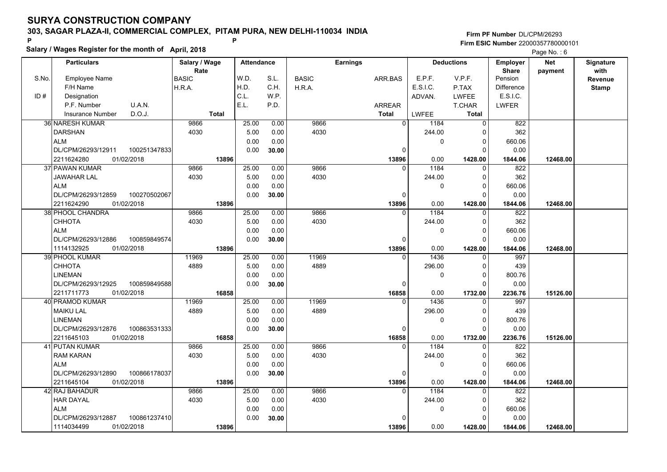**Salary / Wages Register for the month of April, 2018 <sup>P</sup> <sup>P</sup>**

|       | Salary / wages Register for the month of April, 2018 | Page No.: 6   |                   |       |              |                 |                  |                            |                   |            |              |
|-------|------------------------------------------------------|---------------|-------------------|-------|--------------|-----------------|------------------|----------------------------|-------------------|------------|--------------|
|       | <b>Particulars</b>                                   | Salary / Wage | <b>Attendance</b> |       |              | <b>Earnings</b> |                  | <b>Deductions</b>          | <b>Employer</b>   | <b>Net</b> | Signature    |
|       |                                                      | Rate          |                   |       |              |                 |                  |                            | <b>Share</b>      | payment    | with         |
| S.No. | <b>Employee Name</b>                                 | <b>BASIC</b>  | W.D.              | S.L.  | <b>BASIC</b> | ARR.BAS         | E.P.F.           | V.P.F.                     | Pension           |            | Revenue      |
|       | F/H Name                                             | H.R.A.        | H.D.              | C.H.  | H.R.A.       |                 | E.S.I.C.         | P.TAX                      | <b>Difference</b> |            | <b>Stamp</b> |
| ID#   | Designation                                          |               | C.L.              | W.P.  |              |                 | ADVAN.           | <b>LWFEE</b>               | E.S.I.C.          |            |              |
|       | U.A.N.<br>P.F. Number                                |               | E.L.              | P.D.  |              | <b>ARREAR</b>   |                  | T.CHAR                     | <b>LWFER</b>      |            |              |
|       | D.O.J.<br>Insurance Number                           | <b>Total</b>  |                   |       |              | <b>Total</b>    | <b>LWFEE</b>     | Total                      |                   |            |              |
|       | <b>36 NARESH KUMAR</b>                               | 9866          | 25.00             | 0.00  | 9866         |                 | $\Omega$<br>1184 | $\overline{0}$             | 822               |            |              |
|       | <b>DARSHAN</b>                                       | 4030          | 5.00              | 0.00  | 4030         |                 | 244.00           | $\Omega$                   | 362               |            |              |
|       | <b>ALM</b>                                           |               | 0.00              | 0.00  |              |                 |                  | 0<br>0                     | 660.06            |            |              |
|       | DL/CPM/26293/12911<br>100251347833                   |               | 0.00              | 30.00 |              |                 | 0                | $\Omega$                   | 0.00              |            |              |
|       | 01/02/2018<br>2211624280                             | 13896         |                   |       |              | 13896           | 0.00             | 1428.00                    | 1844.06           | 12468.00   |              |
|       | 37 PAWAN KUMAR                                       | 9866          | 25.00             | 0.00  | 9866         |                 | 1184<br>$\Omega$ | $\Omega$                   | 822               |            |              |
|       | <b>JAWAHAR LAL</b>                                   | 4030          | 5.00              | 0.00  | 4030         |                 | 244.00           | 0                          | 362               |            |              |
|       | <b>ALM</b>                                           |               | 0.00              | 0.00  |              |                 |                  | $\mathbf 0$<br>$\mathbf 0$ | 660.06            |            |              |
|       | DL/CPM/26293/12859<br>100270502067                   |               | 0.00              | 30.00 |              |                 | $\Omega$         | 0                          | 0.00              |            |              |
|       | 2211624290<br>01/02/2018                             | 13896         |                   |       |              | 13896           | 0.00             | 1428.00                    | 1844.06           | 12468.00   |              |
|       | 38 PHOOL CHANDRA                                     | 9866          | 25.00             | 0.00  | 9866         |                 | 1184<br>$\Omega$ | 0                          | 822               |            |              |
|       | <b>CHHOTA</b>                                        | 4030          | 5.00              | 0.00  | 4030         |                 | 244.00           | 0                          | 362               |            |              |
|       | <b>ALM</b>                                           |               | 0.00              | 0.00  |              |                 |                  | $\Omega$<br>$\Omega$       | 660.06            |            |              |
|       | DL/CPM/26293/12886<br>100859849574                   |               | 0.00              | 30.00 |              |                 | $\Omega$         | $\Omega$                   | 0.00              |            |              |
|       | 1114132925<br>01/02/2018                             | 13896         |                   |       |              | 13896           | 0.00             | 1428.00                    | 1844.06           | 12468.00   |              |
|       | <b>39 PHOOL KUMAR</b>                                | 11969         | 25.00             | 0.00  | 11969        |                 | 1436<br>$\Omega$ | $\Omega$                   | 997               |            |              |
|       | СННОТА                                               | 4889          | 5.00              | 0.00  | 4889         |                 | 296.00           | $\Omega$                   | 439               |            |              |
|       | <b>LINEMAN</b>                                       |               | 0.00              | 0.00  |              |                 |                  | $\mathbf 0$<br>0           | 800.76            |            |              |
|       | DL/CPM/26293/12925<br>100859849588                   |               | 0.00              | 30.00 |              |                 | $\Omega$         | $\Omega$                   | 0.00              |            |              |
|       | 2211711773<br>01/02/2018                             | 16858         |                   |       |              | 16858           | 0.00             | 1732.00                    | 2236.76           | 15126.00   |              |
|       | 40 PRAMOD KUMAR                                      | 11969         | 25.00             | 0.00  | 11969        |                 | 1436<br>$\Omega$ | $\Omega$                   | 997               |            |              |
|       | <b>MAIKU LAL</b>                                     | 4889          | 5.00              | 0.00  | 4889         |                 | 296.00           | 0                          | 439               |            |              |
|       | <b>LINEMAN</b>                                       |               | 0.00              | 0.00  |              |                 |                  | 0<br>$\Omega$              | 800.76            |            |              |
|       | DL/CPM/26293/12876<br>100863531333                   |               | 0.00              | 30.00 |              |                 | 0                | 0                          | 0.00              |            |              |
|       | 01/02/2018<br>2211645103                             | 16858         |                   |       |              | 16858           | 0.00             | 1732.00                    | 2236.76           | 15126.00   |              |
|       | 41 PUTAN KUMAR                                       | 9866          | 25.00             | 0.00  | 9866         |                 | 1184<br>$\Omega$ | 0                          | 822               |            |              |
|       | <b>RAM KARAN</b>                                     | 4030          | 5.00              | 0.00  | 4030         |                 | 244.00           | $\Omega$                   | 362               |            |              |
|       | <b>ALM</b>                                           |               | 0.00              | 0.00  |              |                 |                  | $\Omega$<br>$\Omega$       | 660.06            |            |              |
|       | DL/CPM/26293/12890<br>100866178037                   |               | 0.00              | 30.00 |              |                 | $\Omega$         | $\Omega$                   | 0.00              |            |              |
|       | 2211645104<br>01/02/2018                             | 13896         |                   |       |              | 13896           | 0.00             | 1428.00                    | 1844.06           | 12468.00   |              |
|       | 42 RAJ BAHADUR                                       | 9866          | 25.00             | 0.00  | 9866         |                 | 1184<br>$\Omega$ | $\Omega$                   | 822               |            |              |
|       | <b>HAR DAYAL</b>                                     | 4030          | 5.00              | 0.00  | 4030         |                 | 244.00           | 0                          | 362               |            |              |
|       | <b>ALM</b>                                           |               | 0.00              | 0.00  |              |                 |                  | 0<br>0                     | 660.06            |            |              |
|       | 100861237410<br>DL/CPM/26293/12887                   |               | 0.00              | 30.00 |              |                 | $\Omega$         | 0                          | 0.00              |            |              |
|       | 1114034499<br>01/02/2018                             | 13896         |                   |       |              | 13896           | 0.00             | 1428.00                    | 1844.06           | 12468.00   |              |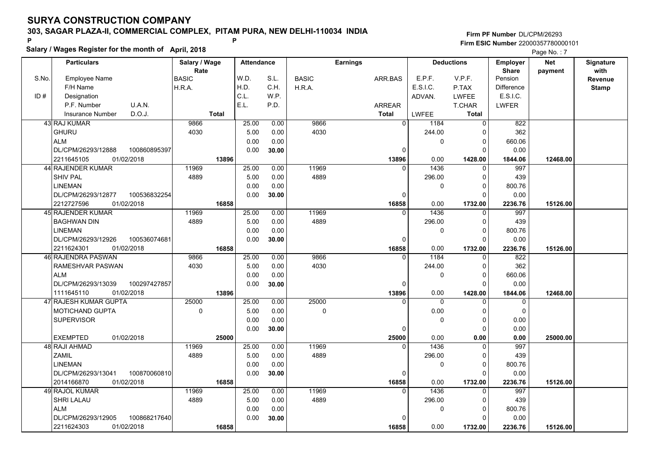**Salary / Wages Register for the month of April, 2018 <sup>P</sup> <sup>P</sup>**

|       | Salary / Wages Register for the month of April, 2018 |                |                   |       |               |                   |              |                         |                |            |                  |
|-------|------------------------------------------------------|----------------|-------------------|-------|---------------|-------------------|--------------|-------------------------|----------------|------------|------------------|
|       | <b>Particulars</b>                                   | Salary / Wage  | <b>Attendance</b> |       |               | <b>Earnings</b>   |              | <b>Deductions</b>       | Employer       | <b>Net</b> | <b>Signature</b> |
|       |                                                      | Rate           |                   |       |               |                   |              |                         | <b>Share</b>   | payment    | with             |
| S.No. | <b>Employee Name</b>                                 | <b>BASIC</b>   | W.D.              | S.L.  | <b>BASIC</b>  | ARR.BAS           | E.P.F.       | V.P.F.                  | Pension        |            | Revenue          |
|       | F/H Name                                             | H.R.A.         | H.D.              | C.H.  | H.R.A.        |                   | E.S.I.C.     | P.TAX                   | Difference     |            | <b>Stamp</b>     |
| ID#   | Designation                                          |                | C.L.              | W.P.  |               |                   | ADVAN.       | <b>LWFEE</b>            | E.S.I.C.       |            |                  |
|       | P.F. Number<br>U.A.N.                                |                | E.L.              | P.D.  |               | ARREAR            |              | T.CHAR                  | <b>LWFER</b>   |            |                  |
|       | D.O.J.<br><b>Insurance Number</b>                    | <b>Total</b>   |                   |       |               | <b>Total</b>      | <b>LWFEE</b> | Total                   |                |            |                  |
|       | 43 RAJ KUMAR                                         | 9866           | 25.00             | 0.00  | 9866          | $\overline{0}$    | 1184         | $\overline{0}$          | 822            |            |                  |
|       | <b>GHURU</b>                                         | 4030           | 5.00              | 0.00  | 4030          |                   | 244.00       | $\Omega$                | 362            |            |                  |
|       | <b>ALM</b>                                           |                | 0.00              | 0.00  |               |                   | $\mathbf 0$  | 0                       | 660.06         |            |                  |
|       | DL/CPM/26293/12888<br>100860895397                   |                | 0.00              | 30.00 |               | $\Omega$          |              | $\Omega$                | 0.00           |            |                  |
|       | 01/02/2018<br>2211645105                             | 13896          |                   |       |               | 13896<br>$\Omega$ | 0.00         | 1428.00<br>$\Omega$     | 1844.06        | 12468.00   |                  |
|       | 44 RAJENDER KUMAR<br><b>SHIV PAL</b>                 | 11969<br>4889  | 25.00             | 0.00  | 11969<br>4889 |                   | 1436         |                         | 997<br>439     |            |                  |
|       |                                                      |                | 5.00              | 0.00  |               |                   | 296.00       | $\Omega$                |                |            |                  |
|       | <b>LINEMAN</b>                                       |                | 0.00              | 0.00  |               |                   | 0            | $\Omega$<br>$\Omega$    | 800.76         |            |                  |
|       | DL/CPM/26293/12877<br>100536832254                   |                | 0.00              | 30.00 |               | $\mathbf 0$       |              |                         | 0.00           |            |                  |
|       | 2212727596<br>01/02/2018<br>45 RAJENDER KUMAR        | 16858<br>11969 | 25.00             | 0.00  | 11969         | 16858<br>$\Omega$ | 0.00<br>1436 | 1732.00<br>$\mathbf{0}$ | 2236.76<br>997 | 15126.00   |                  |
|       | <b>BAGHWAN DIN</b>                                   | 4889           | 5.00              | 0.00  | 4889          |                   | 296.00       | 0                       | 439            |            |                  |
|       | <b>LINEMAN</b>                                       |                | 0.00              | 0.00  |               |                   | $\Omega$     | $\Omega$                | 800.76         |            |                  |
|       | DL/CPM/26293/12926<br>100536074681                   |                | 0.00              | 30.00 |               | $\Omega$          |              | $\Omega$                | 0.00           |            |                  |
|       | 2211624301<br>01/02/2018                             | 16858          |                   |       |               | 16858             | 0.00         | 1732.00                 | 2236.76        | 15126.00   |                  |
|       | <b>46 RAJENDRA PASWAN</b>                            | 9866           | 25.00             | 0.00  | 9866          | $\Omega$          | 1184         | $\Omega$                | 822            |            |                  |
|       | RAMESHVAR PASWAN                                     | 4030           | 5.00              | 0.00  | 4030          |                   | 244.00       | $\Omega$                | 362            |            |                  |
|       | <b>ALM</b>                                           |                | 0.00              | 0.00  |               |                   | 0            | 0                       | 660.06         |            |                  |
|       | DL/CPM/26293/13039<br>100297427857                   |                | 0.00              | 30.00 |               | $\mathbf 0$       |              | $\Omega$                | 0.00           |            |                  |
|       | 01/02/2018<br>1111645110                             | 13896          |                   |       |               | 13896             | 0.00         | 1428.00                 | 1844.06        | 12468.00   |                  |
|       | 47 RAJESH KUMAR GUPTA                                | 25000          | 25.00             | 0.00  | 25000         |                   | $\Omega$     | $\Omega$                | $\Omega$       |            |                  |
|       | <b>MOTICHAND GUPTA</b>                               | $\mathsf 0$    | 5.00              | 0.00  | 0             |                   | 0.00         | 0                       | $\mathbf 0$    |            |                  |
|       | <b>SUPERVISOR</b>                                    |                | 0.00              | 0.00  |               |                   | $\mathbf 0$  | $\Omega$                | 0.00           |            |                  |
|       |                                                      |                | 0.00              | 30.00 |               | 0                 |              | $\Omega$                | 0.00           |            |                  |
|       | <b>EXEMPTED</b><br>01/02/2018                        | 25000          |                   |       |               | 25000             | 0.00         | 0.00                    | 0.00           | 25000.00   |                  |
|       | 48 RAJI AHMAD                                        | 11969          | 25.00             | 0.00  | 11969         | $\Omega$          | 1436         | $\mathbf 0$             | 997            |            |                  |
|       | ZAMIL                                                | 4889           | 5.00              | 0.00  | 4889          |                   | 296.00       | $\Omega$                | 439            |            |                  |
|       | <b>LINEMAN</b>                                       |                | 0.00              | 0.00  |               |                   | $\Omega$     | $\Omega$                | 800.76         |            |                  |
|       | DL/CPM/26293/13041<br>100870060810                   |                | 0.00              | 30.00 |               | $\mathbf 0$       |              | $\Omega$                | 0.00           |            |                  |
|       | 2014166870<br>01/02/2018                             | 16858          |                   |       |               | 16858             | 0.00         | 1732.00                 | 2236.76        | 15126.00   |                  |
|       | 49 RAJOL KUMAR                                       | 11969          | 25.00             | 0.00  | 11969         | $\Omega$          | 1436         | $\Omega$                | 997            |            |                  |
|       | SHRI LALAU                                           | 4889           | 5.00              | 0.00  | 4889          |                   | 296.00       | $\Omega$                | 439            |            |                  |
|       | <b>ALM</b>                                           |                | 0.00              | 0.00  |               |                   | 0            | 0                       | 800.76         |            |                  |
|       | 100868217640<br>DL/CPM/26293/12905                   |                | 0.00              | 30.00 |               | $\Omega$          |              | 0                       | 0.00           |            |                  |
|       | 2211624303<br>01/02/2018                             | 16858          |                   |       |               | 16858             | 0.00         | 1732.00                 | 2236.76        | 15126.00   |                  |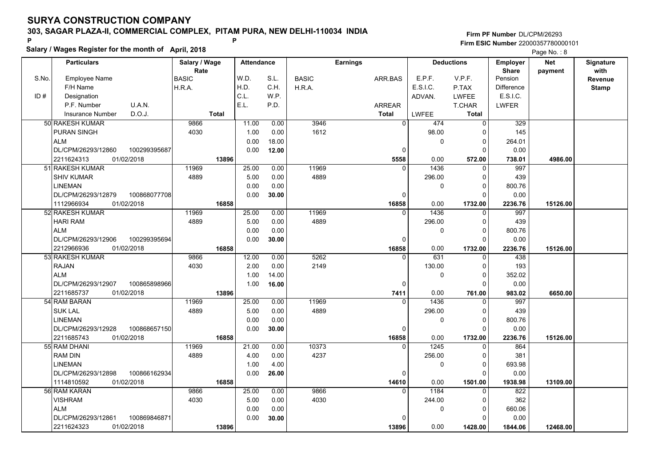**Salary / Wages Register for the month of April, 2018 <sup>P</sup> <sup>P</sup>**

|       | Salary / wages Register for the month of April, 2018 |               |                   |       |                  |                 |                  |                   | Page No.: 8       |            |              |  |
|-------|------------------------------------------------------|---------------|-------------------|-------|------------------|-----------------|------------------|-------------------|-------------------|------------|--------------|--|
|       | <b>Particulars</b>                                   | Salary / Wage | <b>Attendance</b> |       |                  | <b>Earnings</b> |                  | <b>Deductions</b> | <b>Employer</b>   | <b>Net</b> | Signature    |  |
|       |                                                      | Rate          |                   |       |                  |                 |                  |                   | <b>Share</b>      | payment    | with         |  |
| S.No. | <b>Employee Name</b>                                 | <b>BASIC</b>  | W.D.              | S.L.  | <b>BASIC</b>     | ARR.BAS         | E.P.F.           | V.P.F.            | Pension           |            | Revenue      |  |
|       | F/H Name                                             | H.R.A.        | H.D.              | C.H.  | H.R.A.           |                 | E.S.I.C.         | P.TAX             | <b>Difference</b> |            | <b>Stamp</b> |  |
| ID#   | Designation                                          |               | C.L.              | W.P.  |                  |                 | ADVAN.           | <b>LWFEE</b>      | E.S.I.C.          |            |              |  |
|       | P.F. Number<br>U.A.N.                                |               | E.L.              | P.D.  |                  | <b>ARREAR</b>   |                  | T.CHAR            | <b>LWFER</b>      |            |              |  |
|       | D.O.J.<br>Insurance Number                           | <b>Total</b>  |                   |       |                  | <b>Total</b>    | <b>LWFEE</b>     | <b>Total</b>      |                   |            |              |  |
|       | 50 RAKESH KUMAR                                      | 9866          | 11.00             | 0.00  | 3946             | $\mathbf{0}$    | 474              | $\Omega$          | 329               |            |              |  |
|       | <b>PURAN SINGH</b>                                   | 4030          | 1.00              | 0.00  | 1612             |                 | 98.00            | $\Omega$          | 145               |            |              |  |
|       | <b>ALM</b>                                           |               | 0.00              | 18.00 |                  |                 | $\pmb{0}$        | 0                 | 264.01            |            |              |  |
|       | DL/CPM/26293/12860<br>100299395687                   |               | 0.00              | 12.00 |                  | 0               |                  | $\Omega$          | 0.00              |            |              |  |
|       | 2211624313<br>01/02/2018                             | 13896         |                   |       |                  | 5558            | 0.00             | 572.00            | 738.01            | 4986.00    |              |  |
|       | 51 RAKESH KUMAR                                      | 11969         | 25.00             | 0.00  | 11969            | $\Omega$        | 1436             | $\Omega$          | 997               |            |              |  |
|       | <b>SHIV KUMAR</b>                                    | 4889          | 5.00              | 0.00  | 4889             |                 | 296.00           | 0                 | 439               |            |              |  |
|       | <b>LINEMAN</b>                                       |               | 0.00              | 0.00  |                  |                 | 0                | $\Omega$          | 800.76            |            |              |  |
|       | DL/CPM/26293/12879<br>100868077708                   |               | 0.00              | 30.00 |                  | $\Omega$        |                  | 0                 | 0.00              |            |              |  |
|       | 1112966934<br>01/02/2018                             | 16858         |                   |       |                  | 16858           | 0.00             | 1732.00           | 2236.76           | 15126.00   |              |  |
|       | 52 RAKESH KUMAR                                      | 11969         | 25.00             | 0.00  | 11969            | $\Omega$        | 1436             | 0                 | 997               |            |              |  |
|       | <b>HARI RAM</b>                                      | 4889          | 5.00              | 0.00  | 4889             |                 | 296.00           | $\Omega$          | 439               |            |              |  |
|       | <b>ALM</b>                                           |               | 0.00              | 0.00  |                  |                 | $\mathbf 0$      | $\Omega$          | 800.76            |            |              |  |
|       | 100299395694<br>DL/CPM/26293/12906                   |               | 0.00              | 30.00 |                  | 0               |                  | $\Omega$          | 0.00              |            |              |  |
|       | 2212966936<br>01/02/2018                             | 16858         |                   |       |                  | 16858           | 0.00             | 1732.00           | 2236.76           | 15126.00   |              |  |
|       | 53 RAKESH KUMAR                                      | 9866          | 12.00             | 0.00  | $\frac{1}{5262}$ | $\Omega$        | $\overline{631}$ | $\Omega$          | 438               |            |              |  |
|       | <b>RAJAN</b>                                         | 4030          | 2.00              | 0.00  | 2149             |                 | 130.00           | $\Omega$          | 193               |            |              |  |
|       | <b>ALM</b>                                           |               | 1.00              | 14.00 |                  |                 | $\mathbf 0$      | $\Omega$          | 352.02            |            |              |  |
|       | DL/CPM/26293/12907<br>100865898966                   |               | 1.00              | 16.00 |                  | 0               |                  | $\Omega$          | 0.00              |            |              |  |
|       | 2211685737<br>01/02/2018                             | 13896         |                   |       |                  | 7411            | 0.00             | 761.00            | 983.02            | 6650.00    |              |  |
|       | 54 RAM BARAN                                         | 11969         | 25.00             | 0.00  | 11969            | $\Omega$        | 1436             | 0                 | 997               |            |              |  |
|       | <b>SUK LAL</b>                                       | 4889          | 5.00              | 0.00  | 4889             |                 | 296.00           | 0                 | 439               |            |              |  |
|       | <b>LINEMAN</b>                                       |               | 0.00              | 0.00  |                  |                 | 0                | $\Omega$          | 800.76            |            |              |  |
|       | DL/CPM/26293/12928<br>100868657150                   |               | 0.00              | 30.00 |                  | 0               |                  | 0                 | 0.00              |            |              |  |
|       | 2211685743<br>01/02/2018                             | 16858         |                   |       |                  | 16858           | 0.00             | 1732.00           | 2236.76           | 15126.00   |              |  |
|       | 55 RAM DHANI                                         | 11969         | 21.00             | 0.00  | 10373            | $\Omega$        | 1245             | 0                 | 864               |            |              |  |
|       | <b>RAM DIN</b>                                       | 4889          | 4.00              | 0.00  | 4237             |                 | 256.00           | $\Omega$          | 381               |            |              |  |
|       | <b>LINEMAN</b>                                       |               | 1.00              | 4.00  |                  |                 | $\mathbf 0$      | $\Omega$          | 693.98            |            |              |  |
|       | DL/CPM/26293/12898<br>100866162934                   |               | 0.00              | 26.00 |                  | $\Omega$        |                  | $\Omega$          | 0.00              |            |              |  |
|       | 1114810592<br>01/02/2018                             | 16858         |                   |       |                  | 14610           | 0.00             | 1501.00           | 1938.98           | 13109.00   |              |  |
|       | 56 RAM KARAN                                         | 9866          | 25.00             | 0.00  | 9866             | $\Omega$        | 1184             | $\Omega$          | 822               |            |              |  |
|       | <b>VISHRAM</b>                                       | 4030          | 5.00              | 0.00  | 4030             |                 | 244.00           | $\Omega$          | 362               |            |              |  |
|       | <b>ALM</b>                                           |               | 0.00              | 0.00  |                  |                 | 0                | $\Omega$          | 660.06            |            |              |  |
|       | 100869846871<br>DL/CPM/26293/12861                   |               | 0.00              | 30.00 |                  |                 |                  | O                 | 0.00              |            |              |  |
|       | 01/02/2018<br>2211624323                             | 13896         |                   |       |                  | 13896           | 0.00             | 1428.00           | 1844.06           | 12468.00   |              |  |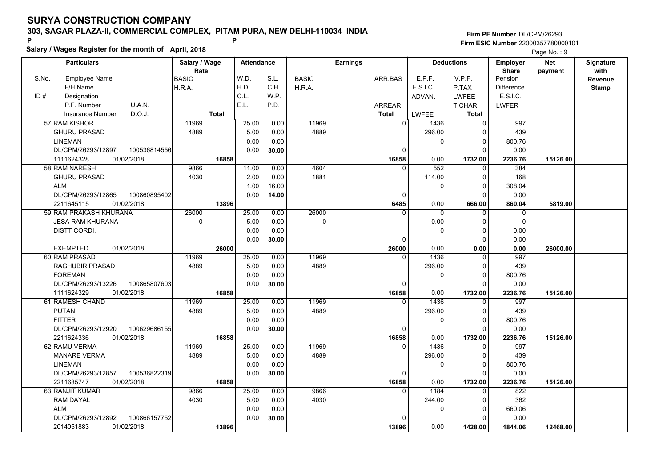**Salary / Wages Register for the month of April, 2018 <sup>P</sup> <sup>P</sup>**

|       | Salary / wages Register for the month of April, 2018 |               |                   |       |              |                 |              |                   |                   |            |              |
|-------|------------------------------------------------------|---------------|-------------------|-------|--------------|-----------------|--------------|-------------------|-------------------|------------|--------------|
|       | <b>Particulars</b>                                   | Salary / Wage | <b>Attendance</b> |       |              | <b>Earnings</b> |              | <b>Deductions</b> | <b>Employer</b>   | <b>Net</b> | Signature    |
|       |                                                      | Rate          |                   |       |              |                 |              |                   | <b>Share</b>      | payment    | with         |
| S.No. | <b>Employee Name</b>                                 | <b>BASIC</b>  | W.D.              | S.L.  | <b>BASIC</b> | ARR.BAS         | E.P.F.       | V.P.F.            | Pension           |            | Revenue      |
|       | F/H Name                                             | H.R.A.        | H.D.              | C.H.  | H.R.A.       |                 | E.S.I.C.     | P.TAX             | <b>Difference</b> |            | <b>Stamp</b> |
| ID#   | Designation                                          |               | C.L.              | W.P.  |              |                 | ADVAN.       | <b>LWFEE</b>      | E.S.I.C.          |            |              |
|       | U.A.N.<br>P.F. Number                                |               | E.L.              | P.D.  |              | <b>ARREAR</b>   |              | T.CHAR            | <b>LWFER</b>      |            |              |
|       | D.O.J.<br>Insurance Number                           | <b>Total</b>  |                   |       |              | <b>Total</b>    | <b>LWFEE</b> | Total             |                   |            |              |
|       | 57 RAM KISHOR                                        | 11969         | 25.00             | 0.00  | 11969        | $\Omega$        | 1436         | $\Omega$          | 997               |            |              |
|       | <b>GHURU PRASAD</b>                                  | 4889          | 5.00              | 0.00  | 4889         |                 | 296.00       | $\Omega$          | 439               |            |              |
|       | <b>LINEMAN</b>                                       |               | 0.00              | 0.00  |              |                 | 0            | 0                 | 800.76            |            |              |
|       | DL/CPM/26293/12897<br>100536814556                   |               | 0.00              | 30.00 |              | 0               |              | $\Omega$          | 0.00              |            |              |
|       | 1111624328<br>01/02/2018                             | 16858         |                   |       |              | 16858           | 0.00         | 1732.00           | 2236.76           | 15126.00   |              |
|       | 58 RAM NARESH                                        | 9866          | 11.00             | 0.00  | 4604         | $\Omega$        | 552          | $\Omega$          | 384               |            |              |
|       | <b>GHURU PRASAD</b>                                  | 4030          | 2.00              | 0.00  | 1881         |                 | 114.00       | 0                 | 168               |            |              |
|       | <b>ALM</b>                                           |               | 1.00              | 16.00 |              |                 | 0            | $\Omega$          | 308.04            |            |              |
|       | DL/CPM/26293/12865<br>100860895402                   |               | 0.00              | 14.00 |              | $\mathbf 0$     |              | 0                 | 0.00              |            |              |
|       | 01/02/2018<br>2211645115                             | 13896         |                   |       |              | 6485            | 0.00         | 666.00            | 860.04            | 5819.00    |              |
|       | 59 RAM PRAKASH KHURANA                               | 26000         | 25.00             | 0.00  | 26000        |                 | $\mathbf 0$  | 0                 | $\mathbf 0$       |            |              |
|       | JESA RAM KHURANA                                     | 0             | 5.00              | 0.00  | 0            |                 | 0.00         | $\Omega$          | $\mathbf 0$       |            |              |
|       | <b>DISTT CORDI.</b>                                  |               | 0.00              | 0.00  |              |                 | $\Omega$     | $\Omega$          | 0.00              |            |              |
|       |                                                      |               | 0.00              | 30.00 |              | $\Omega$        |              | $\Omega$          | 0.00              |            |              |
|       | <b>EXEMPTED</b><br>01/02/2018                        | 26000         |                   |       |              | 26000           | 0.00         | 0.00              | 0.00              | 26000.00   |              |
|       | 60 RAM PRASAD                                        | 11969         | 25.00             | 0.00  | 11969        | $\Omega$        | 1436         | $\overline{0}$    | 997               |            |              |
|       | <b>RAGHUBIR PRASAD</b>                               | 4889          | 5.00              | 0.00  | 4889         |                 | 296.00       | $\Omega$          | 439               |            |              |
|       | <b>FOREMAN</b>                                       |               | 0.00              | 0.00  |              |                 | 0            | $\mathbf 0$       | 800.76            |            |              |
|       | DL/CPM/26293/13226<br>100865807603                   |               | 0.00              | 30.00 |              | $\Omega$        |              | $\Omega$          | 0.00              |            |              |
|       | 1111624329<br>01/02/2018                             | 16858         |                   |       |              | 16858           | 0.00         | 1732.00           | 2236.76           | 15126.00   |              |
|       | 61 RAMESH CHAND                                      | 11969         | 25.00             | 0.00  | 11969        | $\Omega$        | 1436         | $\Omega$          | 997               |            |              |
|       | <b>PUTANI</b>                                        | 4889          | 5.00              | 0.00  | 4889         |                 | 296.00       | 0                 | 439               |            |              |
|       | <b>FITTER</b>                                        |               | 0.00              | 0.00  |              |                 | 0            | $\Omega$          | 800.76            |            |              |
|       | DL/CPM/26293/12920<br>100629686155                   |               | 0.00              | 30.00 |              | 0               |              | 0                 | 0.00              |            |              |
|       | 01/02/2018<br>2211624336                             | 16858         |                   |       |              | 16858           | 0.00         | 1732.00           | 2236.76           | 15126.00   |              |
|       | 62 RAMU VERMA                                        | 11969         | 25.00             | 0.00  | 11969        | $\Omega$        | 1436         | 0                 | 997               |            |              |
|       | <b>MANARE VERMA</b>                                  | 4889          | 5.00              | 0.00  | 4889         |                 | 296.00       | $\Omega$          | 439               |            |              |
|       | <b>LINEMAN</b>                                       |               | 0.00              | 0.00  |              |                 | $\Omega$     | $\Omega$          | 800.76            |            |              |
|       | DL/CPM/26293/12857<br>100536822319                   |               | 0.00              | 30.00 |              | $\Omega$        |              | $\Omega$          | 0.00              |            |              |
|       | 2211685747<br>01/02/2018                             | 16858         |                   |       |              | 16858           | 0.00         | 1732.00           | 2236.76           | 15126.00   |              |
|       | 63 RANJIT KUMAR                                      | 9866          | 25.00             | 0.00  | 9866         | $\Omega$        | 1184         | $\Omega$          | 822               |            |              |
|       | <b>RAM DAYAL</b>                                     | 4030          | 5.00              | 0.00  | 4030         |                 | 244.00       | 0                 | 362               |            |              |
|       | <b>ALM</b>                                           |               | 0.00              | 0.00  |              |                 | 0            | 0                 | 660.06            |            |              |
|       | DL/CPM/26293/12892<br>100866157752                   |               | 0.00              | 30.00 |              | $\Omega$        |              | 0                 | 0.00              |            |              |
|       | 2014051883<br>01/02/2018                             | 13896         |                   |       |              | 13896           | 0.00         | 1428.00           | 1844.06           | 12468.00   |              |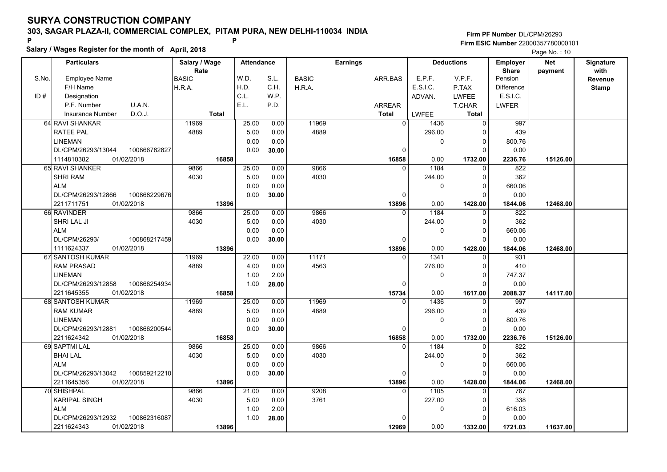**Salary / Wages Register for the month of April, 2018 <sup>P</sup> <sup>P</sup>**

|       | Salary / wages Register for the month of April, 2018<br>Page No.: 10 |               |                   |       |              |                 |                  |                   |                   |            |              |
|-------|----------------------------------------------------------------------|---------------|-------------------|-------|--------------|-----------------|------------------|-------------------|-------------------|------------|--------------|
|       | <b>Particulars</b>                                                   | Salary / Wage | <b>Attendance</b> |       |              | <b>Earnings</b> |                  | <b>Deductions</b> | <b>Employer</b>   | <b>Net</b> | Signature    |
|       |                                                                      | Rate          |                   |       |              |                 |                  |                   | <b>Share</b>      | payment    | with         |
| S.No. | <b>Employee Name</b>                                                 | <b>BASIC</b>  | W.D.              | S.L.  | <b>BASIC</b> | ARR.BAS         | E.P.F.           | V.P.F.            | Pension           |            | Revenue      |
|       | F/H Name                                                             | H.R.A.        | H.D.              | C.H.  | H.R.A.       |                 | E.S.I.C.         | P.TAX             | <b>Difference</b> |            | <b>Stamp</b> |
| ID#   | Designation                                                          |               | C.L.              | W.P.  |              |                 | ADVAN.           | <b>LWFEE</b>      | E.S.I.C.          |            |              |
|       | U.A.N.<br>P.F. Number                                                |               | E.L.              | P.D.  |              | <b>ARREAR</b>   |                  | T.CHAR            | <b>LWFER</b>      |            |              |
|       | D.O.J.<br>Insurance Number                                           | <b>Total</b>  |                   |       |              | <b>Total</b>    | <b>LWFEE</b>     | Total             |                   |            |              |
|       | 64 RAVI SHANKAR                                                      | 11969         | 25.00             | 0.00  | 11969        | $\Omega$        | 1436             | $\Omega$          | 997               |            |              |
|       | <b>RATEE PAL</b>                                                     | 4889          | 5.00              | 0.00  | 4889         |                 | 296.00           | $\Omega$          | 439               |            |              |
|       | <b>LINEMAN</b>                                                       |               | 0.00              | 0.00  |              |                 | 0                | 0                 | 800.76            |            |              |
|       | DL/CPM/26293/13044<br>100866782827                                   |               | 0.00              | 30.00 |              | 0               |                  | $\Omega$          | 0.00              |            |              |
|       | 1114810382<br>01/02/2018                                             | 16858         |                   |       |              | 16858           | 0.00             | 1732.00           | 2236.76           | 15126.00   |              |
|       | 65 RAVI SHANKER                                                      | 9866          | 25.00             | 0.00  | 9866         | $\Omega$        | 1184             | $\Omega$          | 822               |            |              |
|       | <b>SHRI RAM</b>                                                      | 4030          | 5.00              | 0.00  | 4030         |                 | 244.00           | 0                 | 362               |            |              |
|       | <b>ALM</b>                                                           |               | 0.00              | 0.00  |              |                 | 0                | $\Omega$          | 660.06            |            |              |
|       | DL/CPM/26293/12866<br>100868229676                                   |               | 0.00              | 30.00 |              | $\Omega$        |                  | 0                 | 0.00              |            |              |
|       | 2211711751<br>01/02/2018                                             | 13896         |                   |       |              | 13896           | 0.00             | 1428.00           | 1844.06           | 12468.00   |              |
|       | 66 RAVINDER                                                          | 9866          | 25.00             | 0.00  | 9866         | $\Omega$        | 1184             | 0                 | 822               |            |              |
|       | SHRI LAL JI                                                          | 4030          | 5.00              | 0.00  | 4030         |                 | 244.00           | 0                 | 362               |            |              |
|       | <b>ALM</b>                                                           |               | 0.00              | 0.00  |              |                 | $\mathbf{0}$     | $\Omega$          | 660.06            |            |              |
|       | DL/CPM/26293/<br>100868217459                                        |               | 0.00              | 30.00 |              | $\Omega$        |                  | $\Omega$          | 0.00              |            |              |
|       | 1111624337<br>01/02/2018                                             | 13896         |                   |       |              | 13896           | 0.00             | 1428.00           | 1844.06           | 12468.00   |              |
|       | 67 SANTOSH KUMAR                                                     | 11969         | 22.00             | 0.00  | 11171        | $\Omega$        | 1341             | $\Omega$          | 931               |            |              |
|       | <b>RAM PRASAD</b>                                                    | 4889          | 4.00              | 0.00  | 4563         |                 | 276.00           | $\Omega$          | 410               |            |              |
|       | <b>LINEMAN</b>                                                       |               | 1.00              | 2.00  |              |                 | 0                | 0                 | 747.37            |            |              |
|       | DL/CPM/26293/12858<br>100866254934                                   |               | 1.00              | 28.00 |              | $\Omega$        |                  | $\Omega$          | 0.00              |            |              |
|       | 2211645355<br>01/02/2018                                             | 16858         |                   |       |              | 15734           | 0.00             | 1617.00           | 2088.37           | 14117.00   |              |
|       | 68 SANTOSH KUMAR                                                     | 11969         | 25.00             | 0.00  | 11969        | $\Omega$        | 1436             | $\Omega$          | 997               |            |              |
|       | <b>RAM KUMAR</b>                                                     | 4889          | 5.00              | 0.00  | 4889         |                 | 296.00           | 0                 | 439               |            |              |
|       | <b>LINEMAN</b>                                                       |               | 0.00              | 0.00  |              |                 | 0                | $\Omega$          | 800.76            |            |              |
|       | DL/CPM/26293/12881<br>100866200544                                   |               | 0.00              | 30.00 |              | 0               |                  | 0                 | 0.00              |            |              |
|       | 2211624342<br>01/02/2018                                             | 16858         |                   |       |              | 16858           | 0.00             | 1732.00           | 2236.76           | 15126.00   |              |
|       | 69 SAPTMI LAL                                                        | 9866          | 25.00             | 0.00  | 9866         | $\Omega$        | 1184             | 0                 | 822               |            |              |
|       | <b>BHAI LAL</b>                                                      | 4030          | 5.00              | 0.00  | 4030         |                 | 244.00           | $\Omega$          | 362               |            |              |
|       | <b>ALM</b>                                                           |               | 0.00              | 0.00  |              |                 | $\Omega$         | $\Omega$          | 660.06            |            |              |
|       | DL/CPM/26293/13042<br>100859212210                                   |               | 0.00              | 30.00 |              | $\Omega$        |                  | $\Omega$          | 0.00              |            |              |
|       | 2211645356<br>01/02/2018                                             | 13896         |                   |       |              | 13896           | 0.00             | 1428.00           | 1844.06           | 12468.00   |              |
|       | 70 SHISHPAL                                                          | 9866          | 21.00             | 0.00  | 9208         | $\Omega$        | $\frac{1105}{ }$ | $\Omega$          | 767               |            |              |
|       | <b>KARIPAL SINGH</b>                                                 | 4030          | 5.00              | 0.00  | 3761         |                 | 227.00           | 0                 | 338               |            |              |
|       | <b>ALM</b>                                                           |               | 1.00              | 2.00  |              |                 | 0                | 0                 | 616.03            |            |              |
|       | DL/CPM/26293/12932<br>100862316087                                   |               | 1.00              | 28.00 |              | $\Omega$        |                  | 0                 | 0.00              |            |              |
|       | 2211624343<br>01/02/2018                                             | 13896         |                   |       |              | 12969           | 0.00             | 1332.00           | 1721.03           | 11637.00   |              |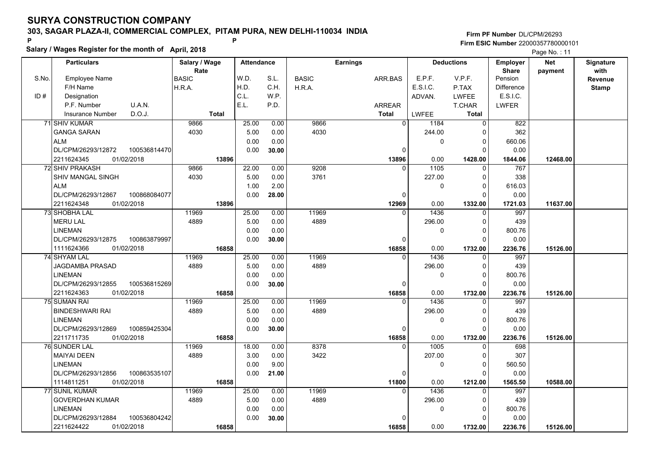**Salary / Wages Register for the month of April, 2018 <sup>P</sup> <sup>P</sup>**

|       | Salary / wages Register for the month of April, 2018 |               |                   |       |              |                 |                  |                   |                   | Page No.: 11 |              |  |  |
|-------|------------------------------------------------------|---------------|-------------------|-------|--------------|-----------------|------------------|-------------------|-------------------|--------------|--------------|--|--|
|       | <b>Particulars</b>                                   | Salary / Wage | <b>Attendance</b> |       |              | <b>Earnings</b> |                  | <b>Deductions</b> | <b>Employer</b>   | <b>Net</b>   | Signature    |  |  |
|       |                                                      | Rate          |                   |       |              |                 |                  |                   | <b>Share</b>      | payment      | with         |  |  |
| S.No. | <b>Employee Name</b>                                 | <b>BASIC</b>  | W.D.              | S.L.  | <b>BASIC</b> | ARR.BAS         | E.P.F.           | V.P.F.            | Pension           |              | Revenue      |  |  |
|       | F/H Name                                             | H.R.A.        | H.D.              | C.H.  | H.R.A.       |                 | E.S.I.C.         | P.TAX             | <b>Difference</b> |              | <b>Stamp</b> |  |  |
| ID#   | Designation                                          |               | C.L.              | W.P.  |              |                 | ADVAN.           | <b>LWFEE</b>      | E.S.I.C.          |              |              |  |  |
|       | P.F. Number<br>U.A.N.                                |               | E.L.              | P.D.  |              | <b>ARREAR</b>   |                  | T.CHAR            | <b>LWFER</b>      |              |              |  |  |
|       | D.O.J.<br>Insurance Number                           | <b>Total</b>  |                   |       |              | <b>Total</b>    | <b>LWFEE</b>     | <b>Total</b>      |                   |              |              |  |  |
|       | 71 SHIV KUMAR                                        | 9866          | 25.00             | 0.00  | 9866         |                 | $\Omega$<br>1184 | $\Omega$          | 822               |              |              |  |  |
|       | <b>GANGA SARAN</b>                                   | 4030          | 5.00              | 0.00  | 4030         |                 | 244.00           | O                 | 362               |              |              |  |  |
|       | <b>ALM</b>                                           |               | 0.00              | 0.00  |              |                 | 0                | 0                 | 660.06            |              |              |  |  |
|       | DL/CPM/26293/12872<br>100536814470                   |               | 0.00              | 30.00 |              |                 | 0                | $\Omega$          | 0.00              |              |              |  |  |
|       | 2211624345<br>01/02/2018                             | 13896         |                   |       |              | 13896           | 0.00             | 1428.00           | 1844.06           | 12468.00     |              |  |  |
|       | 72 SHIV PRAKASH                                      | 9866          | 22.00             | 0.00  | 9208         |                 | 1105<br>$\Omega$ | $\Omega$          | 767               |              |              |  |  |
|       | SHIV MANGAL SINGH                                    | 4030          | 5.00              | 0.00  | 3761         |                 | 227.00           | 0                 | 338               |              |              |  |  |
|       | <b>ALM</b>                                           |               | 1.00              | 2.00  |              |                 | 0                | $\Omega$          | 616.03            |              |              |  |  |
|       | DL/CPM/26293/12867<br>100868084077                   |               | 0.00              | 28.00 |              |                 | $\Omega$         | O                 | 0.00              |              |              |  |  |
|       | 2211624348<br>01/02/2018                             | 13896         |                   |       |              | 12969           | 0.00             | 1332.00           | 1721.03           | 11637.00     |              |  |  |
|       | 73 SHOBHA LAL                                        | 11969         | 25.00             | 0.00  | 11969        |                 | 1436<br>$\Omega$ | 0                 | 997               |              |              |  |  |
|       | <b>MERU LAL</b>                                      | 4889          | 5.00              | 0.00  | 4889         |                 | 296.00           | $\Omega$          | 439               |              |              |  |  |
|       | <b>LINEMAN</b>                                       |               | 0.00              | 0.00  |              |                 | $\mathbf 0$      | $\Omega$          | 800.76            |              |              |  |  |
|       | DL/CPM/26293/12875<br>100863879997                   |               | 0.00              | 30.00 |              |                 | 0                | $\Omega$          | 0.00              |              |              |  |  |
|       | 1111624366<br>01/02/2018                             | 16858         |                   |       |              | 16858           | 0.00             | 1732.00           | 2236.76           | 15126.00     |              |  |  |
|       | <b>74 SHYAM LAL</b>                                  | 11969         | 25.00             | 0.00  | 11969        |                 | 1436<br>$\Omega$ | $\Omega$          | 997               |              |              |  |  |
|       | <b>JAGDAMBA PRASAD</b>                               | 4889          | 5.00              | 0.00  | 4889         |                 | 296.00           | $\Omega$          | 439               |              |              |  |  |
|       | <b>LINEMAN</b>                                       |               | 0.00              | 0.00  |              |                 | $\mathbf 0$      | 0                 | 800.76            |              |              |  |  |
|       | DL/CPM/26293/12855<br>100536815269                   |               | 0.00              | 30.00 |              |                 | $\Omega$         | $\Omega$          | 0.00              |              |              |  |  |
|       | 2211624363<br>01/02/2018                             | 16858         |                   |       |              | 16858           | 0.00             | 1732.00           | 2236.76           | 15126.00     |              |  |  |
|       | 75 SUMAN RAI                                         | 11969         | 25.00             | 0.00  | 11969        |                 | 1436<br>$\Omega$ | 0                 | 997               |              |              |  |  |
|       | <b>BINDESHWARI RAI</b>                               | 4889          | 5.00              | 0.00  | 4889         |                 | 296.00           | 0                 | 439               |              |              |  |  |
|       | <b>LINEMAN</b>                                       |               | 0.00              | 0.00  |              |                 | 0                | $\Omega$          | 800.76            |              |              |  |  |
|       | DL/CPM/26293/12869<br>100859425304                   |               | 0.00              | 30.00 |              |                 | 0                | 0                 | 0.00              |              |              |  |  |
|       | 2211711735<br>01/02/2018                             | 16858         |                   |       |              | 16858           | 0.00             | 1732.00           | 2236.76           | 15126.00     |              |  |  |
|       | 76 SUNDER LAL                                        | 11969         | 18.00             | 0.00  | 8378         |                 | 1005<br>$\Omega$ | 0                 | 698               |              |              |  |  |
|       | <b>MAIYAI DEEN</b>                                   | 4889          | 3.00              | 0.00  | 3422         |                 | 207.00           | $\Omega$          | 307               |              |              |  |  |
|       | <b>LINEMAN</b>                                       |               | 0.00              | 9.00  |              |                 | $\mathbf 0$      | $\Omega$          | 560.50            |              |              |  |  |
|       | DL/CPM/26293/12856<br>100863535107                   |               | 0.00              | 21.00 |              |                 | $\Omega$         | $\Omega$          | 0.00              |              |              |  |  |
|       | 01/02/2018<br>1114811251                             | 16858         |                   |       |              | 11800           | 0.00             | 1212.00           | 1565.50           | 10588.00     |              |  |  |
|       | 77 SUNIL KUMAR                                       | 11969         | 25.00             | 0.00  | 11969        |                 | $\Omega$<br>1436 | $\Omega$          | 997               |              |              |  |  |
|       | <b>GOVERDHAN KUMAR</b>                               | 4889          | 5.00              | 0.00  | 4889         |                 | 296.00           | $\Omega$          | 439               |              |              |  |  |
|       | <b>LINEMAN</b>                                       |               | 0.00              | 0.00  |              |                 | 0                | $\Omega$          | 800.76            |              |              |  |  |
|       | 100536804242<br>DL/CPM/26293/12884                   |               | 0.00              | 30.00 |              |                 |                  | O                 | 0.00              |              |              |  |  |
|       | 2211624422<br>01/02/2018                             | 16858         |                   |       |              | 16858           | 0.00             | 1732.00           | 2236.76           | 15126.00     |              |  |  |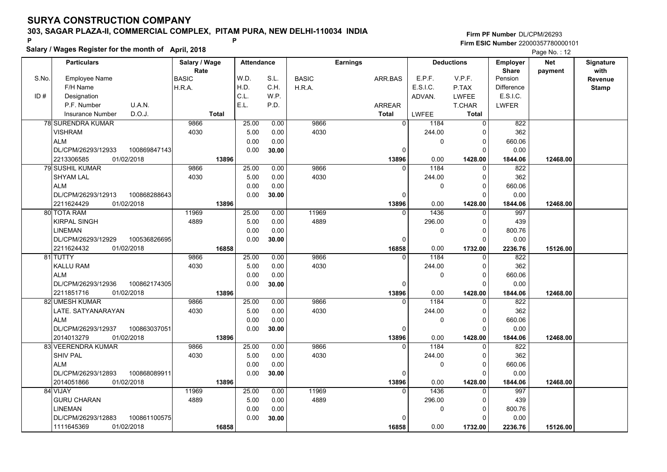**Salary / Wages Register for the month of April, 2018 <sup>P</sup> <sup>P</sup>**

|       | Salary / Wages Register for the month of April, 2018 |               |                   |       |              | Page No.: 12    |              |                   |                   |            |              |
|-------|------------------------------------------------------|---------------|-------------------|-------|--------------|-----------------|--------------|-------------------|-------------------|------------|--------------|
|       | <b>Particulars</b>                                   | Salary / Wage | <b>Attendance</b> |       |              | <b>Earnings</b> |              | <b>Deductions</b> | <b>Employer</b>   | <b>Net</b> | Signature    |
|       |                                                      | Rate          |                   |       |              |                 |              |                   | <b>Share</b>      | payment    | with         |
| S.No. | <b>Employee Name</b>                                 | <b>BASIC</b>  | W.D.              | S.L.  | <b>BASIC</b> | ARR.BAS         | E.P.F.       | V.P.F.            | Pension           |            | Revenue      |
|       | F/H Name                                             | H.R.A.        | H.D.              | C.H.  | H.R.A.       |                 | E.S.I.C.     | P.TAX             | <b>Difference</b> |            | <b>Stamp</b> |
| ID#   | Designation                                          |               | C.L.              | W.P.  |              |                 | ADVAN.       | <b>LWFEE</b>      | E.S.I.C.          |            |              |
|       | P.F. Number<br>U.A.N.                                |               | E.L.              | P.D.  |              | <b>ARREAR</b>   |              | <b>T.CHAR</b>     | <b>LWFER</b>      |            |              |
|       | D.O.J.<br><b>Insurance Number</b>                    | <b>Total</b>  |                   |       |              | <b>Total</b>    | <b>LWFEE</b> | Total             |                   |            |              |
|       | <b>78 SURENDRA KUMAR</b>                             | 9866          | 25.00             | 0.00  | 9866         | $\overline{0}$  | 1184         | $\Omega$          | 822               |            |              |
|       | <b>VISHRAM</b>                                       | 4030          | 5.00              | 0.00  | 4030         |                 | 244.00       | $\Omega$          | 362               |            |              |
|       | <b>ALM</b>                                           |               | 0.00              | 0.00  |              |                 | 0            | $\Omega$          | 660.06            |            |              |
|       | DL/CPM/26293/12933<br>100869847143                   |               | 0.00              | 30.00 |              | $\Omega$        |              | $\Omega$          | 0.00              |            |              |
|       | 01/02/2018<br>2213306585                             | 13896         |                   |       |              | 13896           | 0.00         | 1428.00           | 1844.06           | 12468.00   |              |
|       | <b>79 SUSHIL KUMAR</b>                               | 9866          | 25.00             | 0.00  | 9866         |                 | 1184         | $\Omega$          | 822               |            |              |
|       | <b>SHYAM LAL</b>                                     | 4030          | 5.00              | 0.00  | 4030         |                 | 244.00       | $\Omega$          | 362               |            |              |
|       | <b>ALM</b>                                           |               | 0.00              | 0.00  |              |                 | 0            | $\Omega$          | 660.06            |            |              |
|       | DL/CPM/26293/12913<br>100868288643                   |               | 0.00              | 30.00 |              | 0               |              | $\Omega$          | 0.00              |            |              |
|       | 2211624429<br>01/02/2018                             | 13896         |                   |       |              | 13896           | 0.00         | 1428.00           | 1844.06           | 12468.00   |              |
|       | 80 TOTA RAM                                          | 11969         | 25.00             | 0.00  | 11969        | $\Omega$        | 1436         | $\Omega$          | 997               |            |              |
|       | <b>KIRPAL SINGH</b>                                  | 4889          | 5.00              | 0.00  | 4889         |                 | 296.00       | $\Omega$          | 439               |            |              |
|       | LINEMAN                                              |               | 0.00              | 0.00  |              |                 | 0            | $\Omega$          | 800.76            |            |              |
|       | DL/CPM/26293/12929<br>100536826695                   |               | 0.00              | 30.00 |              | $\Omega$        |              | $\Omega$          | 0.00              |            |              |
|       | 2211624432<br>01/02/2018                             | 16858         |                   |       |              | 16858           | 0.00         | 1732.00           | 2236.76           | 15126.00   |              |
|       | 81 TUTTY                                             | 9866          | 25.00             | 0.00  | 9866         | $\Omega$        | 1184         | O                 | 822               |            |              |
|       | <b>KALLU RAM</b>                                     | 4030          | 5.00              | 0.00  | 4030         |                 | 244.00       | $\Omega$          | 362               |            |              |
|       | <b>ALM</b>                                           |               | 0.00              | 0.00  |              |                 | 0            | $\Omega$          | 660.06            |            |              |
|       | DL/CPM/26293/12936<br>100862174305                   |               | 0.00              | 30.00 |              | 0               |              | $\Omega$          | 0.00              |            |              |
|       | 01/02/2018<br>2211851716                             | 13896         |                   |       |              | 13896           | 0.00         | 1428.00           | 1844.06           | 12468.00   |              |
|       | 82 UMESH KUMAR                                       | 9866          | 25.00             | 0.00  | 9866         |                 | 1184         | $\Omega$          | 822               |            |              |
|       | LATE. SATYANARAYAN                                   | 4030          | 5.00              | 0.00  | 4030         |                 | 244.00       | $\Omega$          | 362               |            |              |
|       | <b>ALM</b>                                           |               | 0.00              | 0.00  |              |                 | 0            | O                 | 660.06            |            |              |
|       | DL/CPM/26293/12937<br>100863037051                   |               | 0.00              | 30.00 |              | $\Omega$        |              | $\Omega$          | 0.00              |            |              |
|       | 01/02/2018<br>2014013279                             | 13896         |                   |       |              | 13896           | 0.00         | 1428.00           | 1844.06           | 12468.00   |              |
|       | 83 VEERENDRA KUMAR                                   | 9866          | 25.00             | 0.00  | 9866         | 0               | 1184         | 0                 | 822               |            |              |
|       | <b>SHIV PAL</b>                                      | 4030          | 5.00              | 0.00  | 4030         |                 | 244.00       | $\Omega$          | 362               |            |              |
|       | <b>ALM</b>                                           |               | 0.00              | 0.00  |              |                 | 0            | $\Omega$          | 660.06            |            |              |
|       | DL/CPM/26293/12893<br>100868089911                   |               | 0.00              | 30.00 |              | $\Omega$        |              | $\Omega$          | 0.00              |            |              |
|       | 2014051866<br>01/02/2018                             | 13896         |                   |       |              | 13896           | 0.00         | 1428.00           | 1844.06           | 12468.00   |              |
|       | 84 VIJAY                                             | 11969         | 25.00             | 0.00  | 11969        | $\Omega$        | 1436         | U                 | 997               |            |              |
|       | <b>GURU CHARAN</b>                                   | 4889          | 5.00              | 0.00  | 4889         |                 | 296.00       | $\Omega$          | 439               |            |              |
|       | LINEMAN                                              |               | 0.00              | 0.00  |              |                 | 0            | 0                 | 800.76            |            |              |
|       | DL/CPM/26293/12883<br>100861100575                   |               | 0.00              | 30.00 |              |                 |              |                   | 0.00              |            |              |
|       | 1111645369<br>01/02/2018                             | 16858         |                   |       |              | 16858           | 0.00         | 1732.00           | 2236.76           | 15126.00   |              |